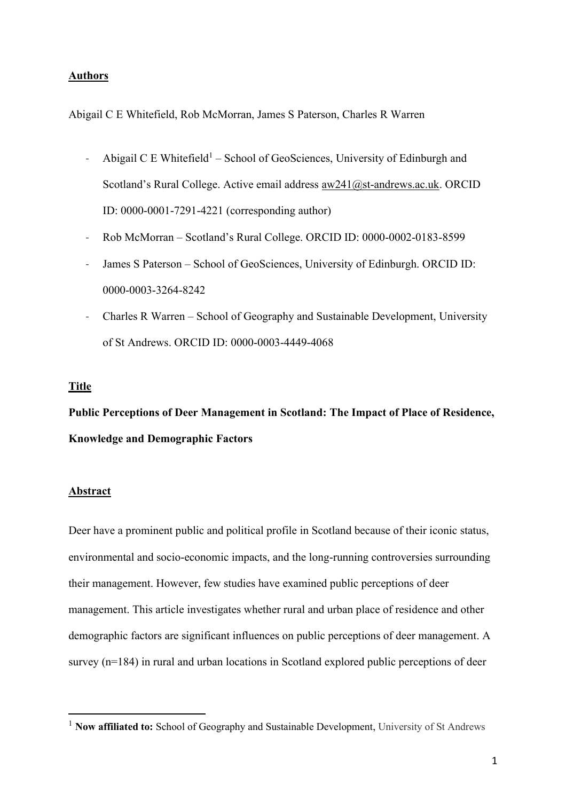#### **Authors**

Abigail C E Whitefield, Rob McMorran, James S Paterson, Charles R Warren

- Abigail C E Whitefield<sup>1</sup> School of GeoSciences, University of Edinburgh and Scotland's Rural College. Active email address  $aw241@st$ -andrews.ac.uk. ORCID ID: 0000-0001-7291-4221 (corresponding author)
- Rob McMorran Scotland's Rural College. ORCID ID: 0000-0002-0183-8599
- James S Paterson School of GeoSciences, University of Edinburgh. ORCID ID: 0000-0003-3264-8242
- Charles R Warren School of Geography and Sustainable Development, University of St Andrews. ORCID ID: 0000-0003-4449-4068

#### **Title**

**Public Perceptions of Deer Management in Scotland: The Impact of Place of Residence, Knowledge and Demographic Factors**

#### **Abstract**

Deer have a prominent public and political profile in Scotland because of their iconic status, environmental and socio-economic impacts, and the long-running controversies surrounding their management. However, few studies have examined public perceptions of deer management. This article investigates whether rural and urban place of residence and other demographic factors are significant influences on public perceptions of deer management. A survey (n=184) in rural and urban locations in Scotland explored public perceptions of deer

<sup>&</sup>lt;sup>1</sup> **Now affiliated to:** School of Geography and Sustainable Development, University of St Andrews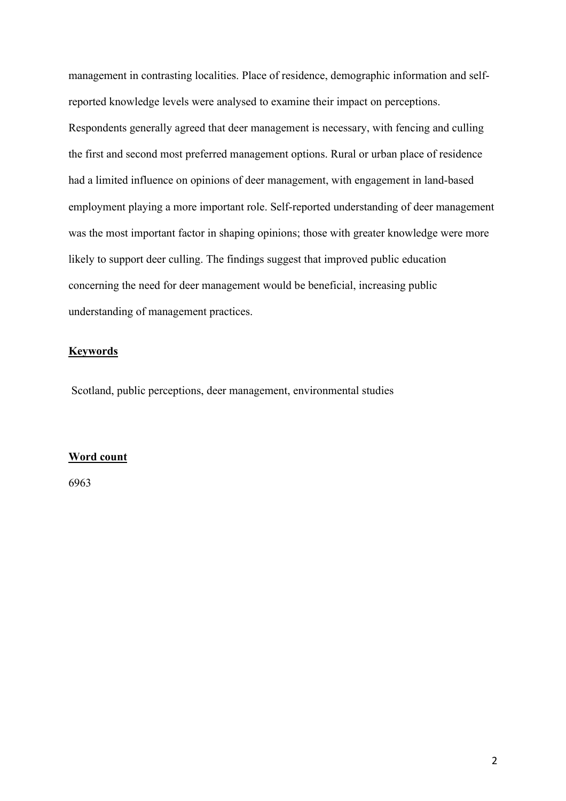management in contrasting localities. Place of residence, demographic information and selfreported knowledge levels were analysed to examine their impact on perceptions. Respondents generally agreed that deer management is necessary, with fencing and culling the first and second most preferred management options. Rural or urban place of residence had a limited influence on opinions of deer management, with engagement in land-based employment playing a more important role. Self-reported understanding of deer management was the most important factor in shaping opinions; those with greater knowledge were more likely to support deer culling. The findings suggest that improved public education concerning the need for deer management would be beneficial, increasing public understanding of management practices.

## **Keywords**

Scotland, public perceptions, deer management, environmental studies

#### **Word count**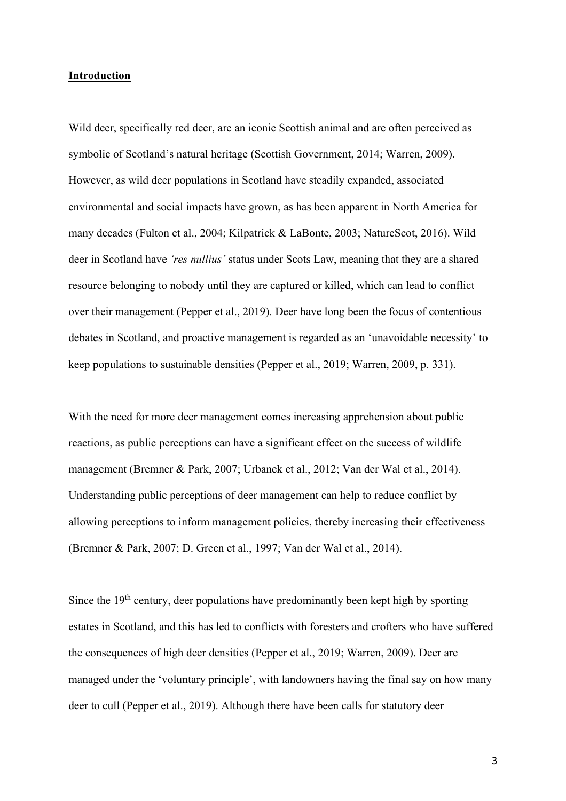## **Introduction**

Wild deer, specifically red deer, are an iconic Scottish animal and are often perceived as symbolic of Scotland's natural heritage (Scottish Government, 2014; Warren, 2009). However, as wild deer populations in Scotland have steadily expanded, associated environmental and social impacts have grown, as has been apparent in North America for many decades (Fulton et al., 2004; Kilpatrick & LaBonte, 2003; NatureScot, 2016). Wild deer in Scotland have *'res nullius'* status under Scots Law, meaning that they are a shared resource belonging to nobody until they are captured or killed, which can lead to conflict over their management (Pepper et al., 2019). Deer have long been the focus of contentious debates in Scotland, and proactive management is regarded as an 'unavoidable necessity' to keep populations to sustainable densities (Pepper et al., 2019; Warren, 2009, p. 331).

With the need for more deer management comes increasing apprehension about public reactions, as public perceptions can have a significant effect on the success of wildlife management (Bremner & Park, 2007; Urbanek et al., 2012; Van der Wal et al., 2014). Understanding public perceptions of deer management can help to reduce conflict by allowing perceptions to inform management policies, thereby increasing their effectiveness (Bremner & Park, 2007; D. Green et al., 1997; Van der Wal et al., 2014).

Since the 19<sup>th</sup> century, deer populations have predominantly been kept high by sporting estates in Scotland, and this has led to conflicts with foresters and crofters who have suffered the consequences of high deer densities (Pepper et al., 2019; Warren, 2009). Deer are managed under the 'voluntary principle', with landowners having the final say on how many deer to cull (Pepper et al., 2019). Although there have been calls for statutory deer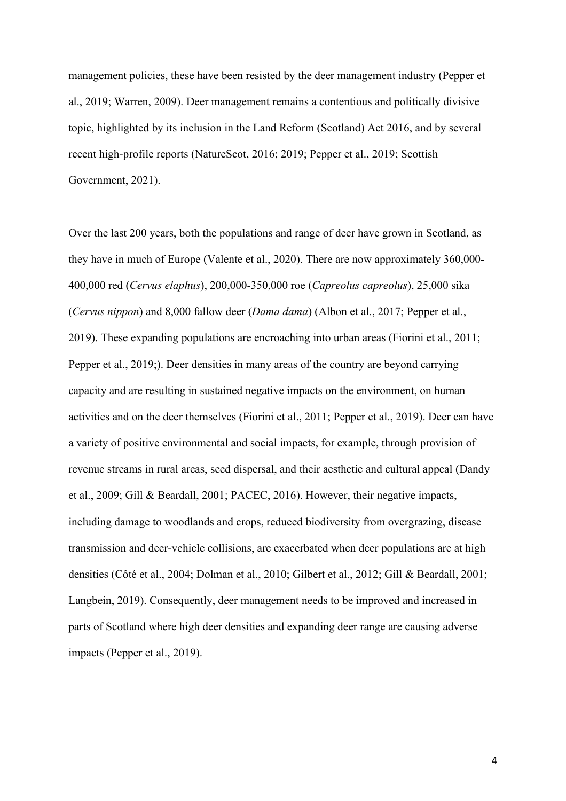management policies, these have been resisted by the deer management industry (Pepper et al., 2019; Warren, 2009). Deer management remains a contentious and politically divisive topic, highlighted by its inclusion in the Land Reform (Scotland) Act 2016, and by several recent high-profile reports (NatureScot, 2016; 2019; Pepper et al., 2019; Scottish Government, 2021).

Over the last 200 years, both the populations and range of deer have grown in Scotland, as they have in much of Europe (Valente et al., 2020). There are now approximately 360,000- 400,000 red (*Cervus elaphus*), 200,000-350,000 roe (*Capreolus capreolus*), 25,000 sika (*Cervus nippon*) and 8,000 fallow deer (*Dama dama*) (Albon et al., 2017; Pepper et al., 2019). These expanding populations are encroaching into urban areas (Fiorini et al., 2011; Pepper et al., 2019;). Deer densities in many areas of the country are beyond carrying capacity and are resulting in sustained negative impacts on the environment, on human activities and on the deer themselves (Fiorini et al., 2011; Pepper et al., 2019). Deer can have a variety of positive environmental and social impacts, for example, through provision of revenue streams in rural areas, seed dispersal, and their aesthetic and cultural appeal (Dandy et al., 2009; Gill & Beardall, 2001; PACEC, 2016). However, their negative impacts, including damage to woodlands and crops, reduced biodiversity from overgrazing, disease transmission and deer-vehicle collisions, are exacerbated when deer populations are at high densities (Côté et al., 2004; Dolman et al., 2010; Gilbert et al., 2012; Gill & Beardall, 2001; Langbein, 2019). Consequently, deer management needs to be improved and increased in parts of Scotland where high deer densities and expanding deer range are causing adverse impacts (Pepper et al., 2019).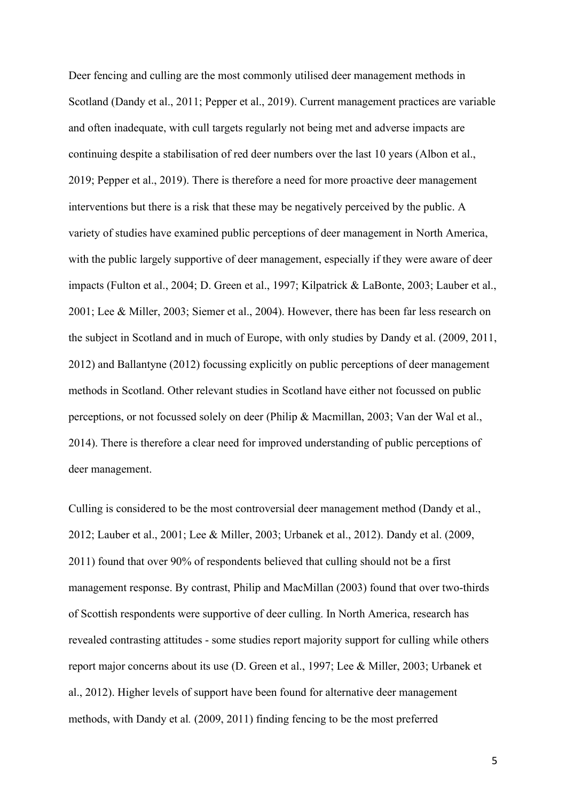Deer fencing and culling are the most commonly utilised deer management methods in Scotland (Dandy et al., 2011; Pepper et al., 2019). Current management practices are variable and often inadequate, with cull targets regularly not being met and adverse impacts are continuing despite a stabilisation of red deer numbers over the last 10 years (Albon et al., 2019; Pepper et al., 2019). There is therefore a need for more proactive deer management interventions but there is a risk that these may be negatively perceived by the public. A variety of studies have examined public perceptions of deer management in North America, with the public largely supportive of deer management, especially if they were aware of deer impacts (Fulton et al., 2004; D. Green et al., 1997; Kilpatrick & LaBonte, 2003; Lauber et al., 2001; Lee & Miller, 2003; Siemer et al., 2004). However, there has been far less research on the subject in Scotland and in much of Europe, with only studies by Dandy et al. (2009, 2011, 2012) and Ballantyne (2012) focussing explicitly on public perceptions of deer management methods in Scotland. Other relevant studies in Scotland have either not focussed on public perceptions, or not focussed solely on deer (Philip & Macmillan, 2003; Van der Wal et al., 2014). There is therefore a clear need for improved understanding of public perceptions of deer management.

Culling is considered to be the most controversial deer management method (Dandy et al., 2012; Lauber et al., 2001; Lee & Miller, 2003; Urbanek et al., 2012). Dandy et al. (2009, 2011) found that over 90% of respondents believed that culling should not be a first management response. By contrast, Philip and MacMillan (2003) found that over two-thirds of Scottish respondents were supportive of deer culling. In North America, research has revealed contrasting attitudes - some studies report majority support for culling while others report major concerns about its use (D. Green et al., 1997; Lee & Miller, 2003; Urbanek et al., 2012). Higher levels of support have been found for alternative deer management methods, with Dandy et al*.* (2009, 2011) finding fencing to be the most preferred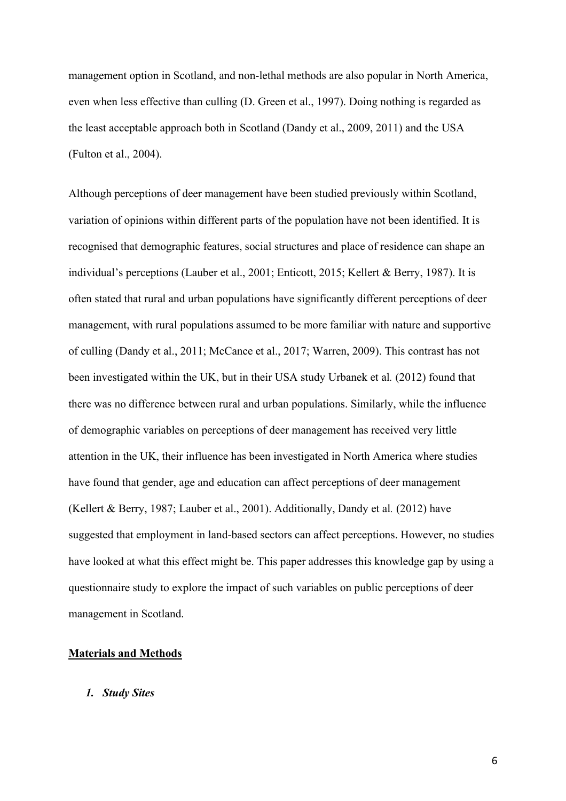management option in Scotland, and non-lethal methods are also popular in North America, even when less effective than culling (D. Green et al., 1997). Doing nothing is regarded as the least acceptable approach both in Scotland (Dandy et al., 2009, 2011) and the USA (Fulton et al., 2004).

Although perceptions of deer management have been studied previously within Scotland, variation of opinions within different parts of the population have not been identified. It is recognised that demographic features, social structures and place of residence can shape an individual's perceptions (Lauber et al., 2001; Enticott, 2015; Kellert & Berry, 1987). It is often stated that rural and urban populations have significantly different perceptions of deer management, with rural populations assumed to be more familiar with nature and supportive of culling (Dandy et al., 2011; McCance et al., 2017; Warren, 2009). This contrast has not been investigated within the UK, but in their USA study Urbanek et al*.* (2012) found that there was no difference between rural and urban populations. Similarly, while the influence of demographic variables on perceptions of deer management has received very little attention in the UK, their influence has been investigated in North America where studies have found that gender, age and education can affect perceptions of deer management (Kellert & Berry, 1987; Lauber et al., 2001). Additionally, Dandy et al*.* (2012) have suggested that employment in land-based sectors can affect perceptions. However, no studies have looked at what this effect might be. This paper addresses this knowledge gap by using a questionnaire study to explore the impact of such variables on public perceptions of deer management in Scotland.

## **Materials and Methods**

#### *1. Study Sites*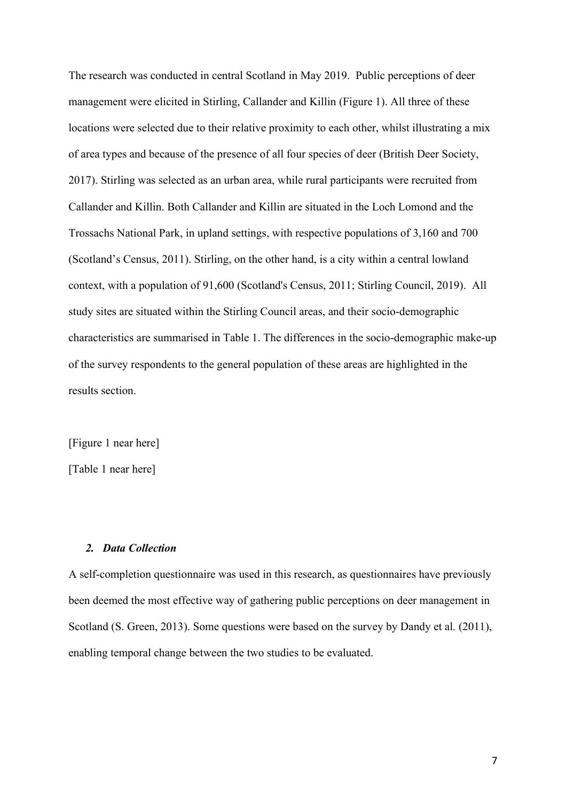The research was conducted in central Scotland in May 2019. Public perceptions of deer management were elicited in Stirling, Callander and Killin (Figure 1). All three of these locations were selected due to their relative proximity to each other, whilst illustrating a mix of area types and because of the presence of all four species of deer (British Deer Society, 2017). Stirling was selected as an urban area, while rural participants were recruited from Callander and Killin. Both Callander and Killin are situated in the Loch Lomond and the Trossachs National Park, in upland settings, with respective populations of 3,160 and 700 (Scotland's Census, 2011). Stirling, on the other hand, is a city within a central lowland context, with a population of 91,600 (Scotland's Census, 2011; Stirling Council, 2019). All study sites are situated within the Stirling Council areas, and their socio-demographic characteristics are summarised in Table 1. The differences in the socio-demographic make-up of the survey respondents to the general population of these areas are highlighted in the results section.

[Figure 1 near here]

[Table 1 near here]

## *2. Data Collection*

A self-completion questionnaire was used in this research, as questionnaires have previously been deemed the most effective way of gathering public perceptions on deer management in Scotland (S. Green, 2013). Some questions were based on the survey by Dandy et al*.* (2011), enabling temporal change between the two studies to be evaluated.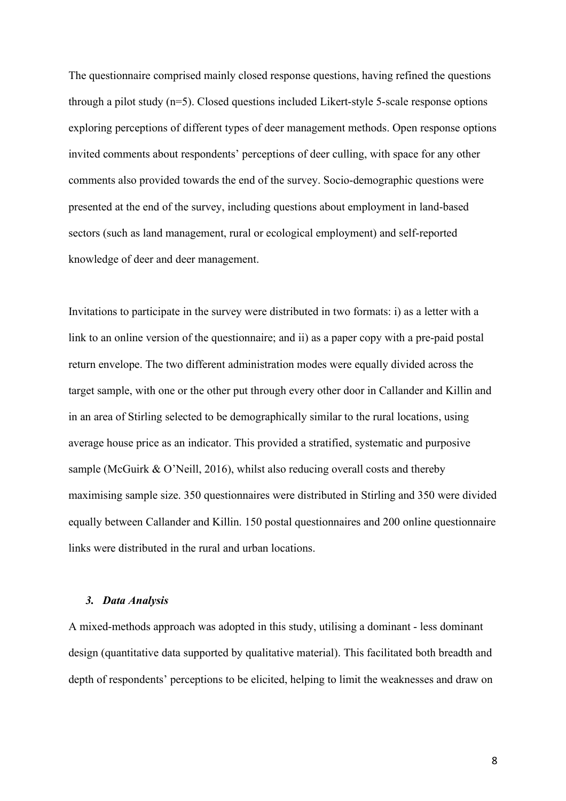The questionnaire comprised mainly closed response questions, having refined the questions through a pilot study (n=5). Closed questions included Likert-style 5-scale response options exploring perceptions of different types of deer management methods. Open response options invited comments about respondents' perceptions of deer culling, with space for any other comments also provided towards the end of the survey. Socio-demographic questions were presented at the end of the survey, including questions about employment in land-based sectors (such as land management, rural or ecological employment) and self-reported knowledge of deer and deer management.

Invitations to participate in the survey were distributed in two formats: i) as a letter with a link to an online version of the questionnaire; and ii) as a paper copy with a pre-paid postal return envelope. The two different administration modes were equally divided across the target sample, with one or the other put through every other door in Callander and Killin and in an area of Stirling selected to be demographically similar to the rural locations, using average house price as an indicator. This provided a stratified, systematic and purposive sample (McGuirk & O'Neill, 2016), whilst also reducing overall costs and thereby maximising sample size. 350 questionnaires were distributed in Stirling and 350 were divided equally between Callander and Killin. 150 postal questionnaires and 200 online questionnaire links were distributed in the rural and urban locations.

## *3. Data Analysis*

A mixed-methods approach was adopted in this study, utilising a dominant - less dominant design (quantitative data supported by qualitative material). This facilitated both breadth and depth of respondents' perceptions to be elicited, helping to limit the weaknesses and draw on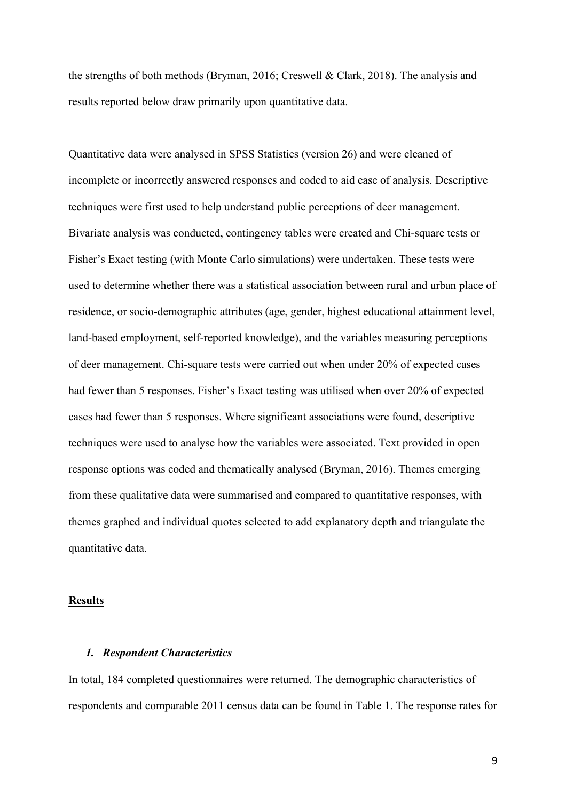the strengths of both methods (Bryman, 2016; Creswell & Clark, 2018). The analysis and results reported below draw primarily upon quantitative data.

Quantitative data were analysed in SPSS Statistics (version 26) and were cleaned of incomplete or incorrectly answered responses and coded to aid ease of analysis. Descriptive techniques were first used to help understand public perceptions of deer management. Bivariate analysis was conducted, contingency tables were created and Chi-square tests or Fisher's Exact testing (with Monte Carlo simulations) were undertaken. These tests were used to determine whether there was a statistical association between rural and urban place of residence, or socio-demographic attributes (age, gender, highest educational attainment level, land-based employment, self-reported knowledge), and the variables measuring perceptions of deer management. Chi-square tests were carried out when under 20% of expected cases had fewer than 5 responses. Fisher's Exact testing was utilised when over 20% of expected cases had fewer than 5 responses. Where significant associations were found, descriptive techniques were used to analyse how the variables were associated. Text provided in open response options was coded and thematically analysed (Bryman, 2016). Themes emerging from these qualitative data were summarised and compared to quantitative responses, with themes graphed and individual quotes selected to add explanatory depth and triangulate the quantitative data.

#### **Results**

## *1. Respondent Characteristics*

In total, 184 completed questionnaires were returned. The demographic characteristics of respondents and comparable 2011 census data can be found in Table 1. The response rates for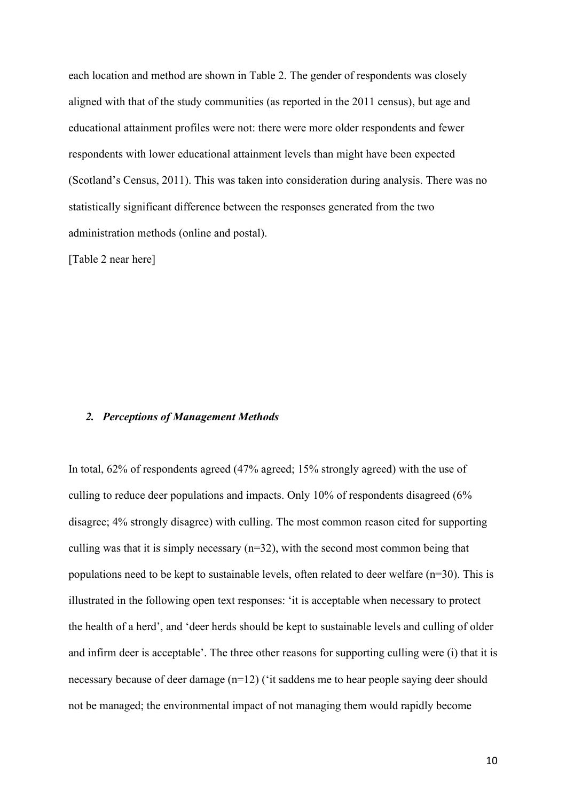each location and method are shown in Table 2. The gender of respondents was closely aligned with that of the study communities (as reported in the 2011 census), but age and educational attainment profiles were not: there were more older respondents and fewer respondents with lower educational attainment levels than might have been expected (Scotland's Census, 2011). This was taken into consideration during analysis. There was no statistically significant difference between the responses generated from the two administration methods (online and postal).

[Table 2 near here]

#### *2. Perceptions of Management Methods*

In total, 62% of respondents agreed (47% agreed; 15% strongly agreed) with the use of culling to reduce deer populations and impacts. Only 10% of respondents disagreed (6% disagree; 4% strongly disagree) with culling. The most common reason cited for supporting culling was that it is simply necessary (n=32), with the second most common being that populations need to be kept to sustainable levels, often related to deer welfare (n=30). This is illustrated in the following open text responses: 'it is acceptable when necessary to protect the health of a herd', and 'deer herds should be kept to sustainable levels and culling of older and infirm deer is acceptable'. The three other reasons for supporting culling were (i) that it is necessary because of deer damage (n=12) ('it saddens me to hear people saying deer should not be managed; the environmental impact of not managing them would rapidly become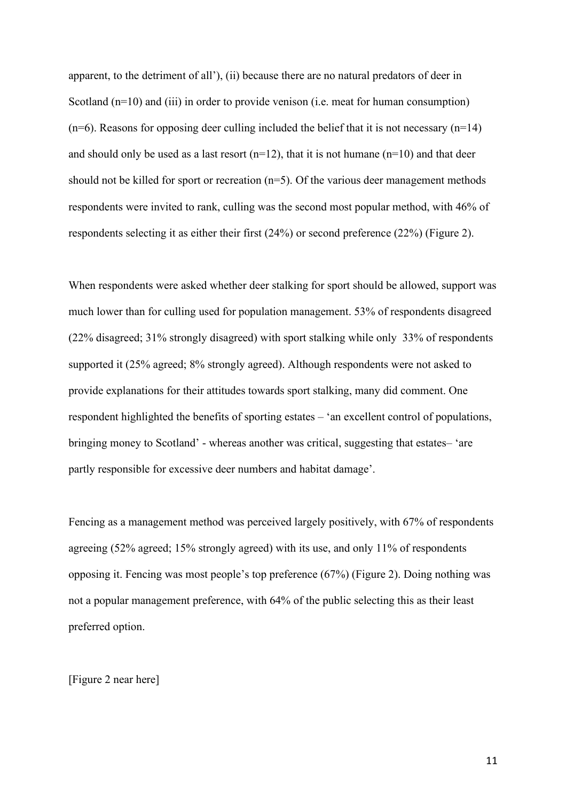apparent, to the detriment of all'), (ii) because there are no natural predators of deer in Scotland (n=10) and (iii) in order to provide venison (i.e. meat for human consumption)  $(n=6)$ . Reasons for opposing deer culling included the belief that it is not necessary  $(n=14)$ and should only be used as a last resort  $(n=12)$ , that it is not humane  $(n=10)$  and that deer should not be killed for sport or recreation  $(n=5)$ . Of the various deer management methods respondents were invited to rank, culling was the second most popular method, with 46% of respondents selecting it as either their first (24%) or second preference (22%) (Figure 2).

When respondents were asked whether deer stalking for sport should be allowed, support was much lower than for culling used for population management. 53% of respondents disagreed (22% disagreed; 31% strongly disagreed) with sport stalking while only 33% of respondents supported it (25% agreed; 8% strongly agreed). Although respondents were not asked to provide explanations for their attitudes towards sport stalking, many did comment. One respondent highlighted the benefits of sporting estates – 'an excellent control of populations, bringing money to Scotland' - whereas another was critical, suggesting that estates– 'are partly responsible for excessive deer numbers and habitat damage'.

Fencing as a management method was perceived largely positively, with 67% of respondents agreeing (52% agreed; 15% strongly agreed) with its use, and only 11% of respondents opposing it. Fencing was most people's top preference (67%) (Figure 2). Doing nothing was not a popular management preference, with 64% of the public selecting this as their least preferred option.

[Figure 2 near here]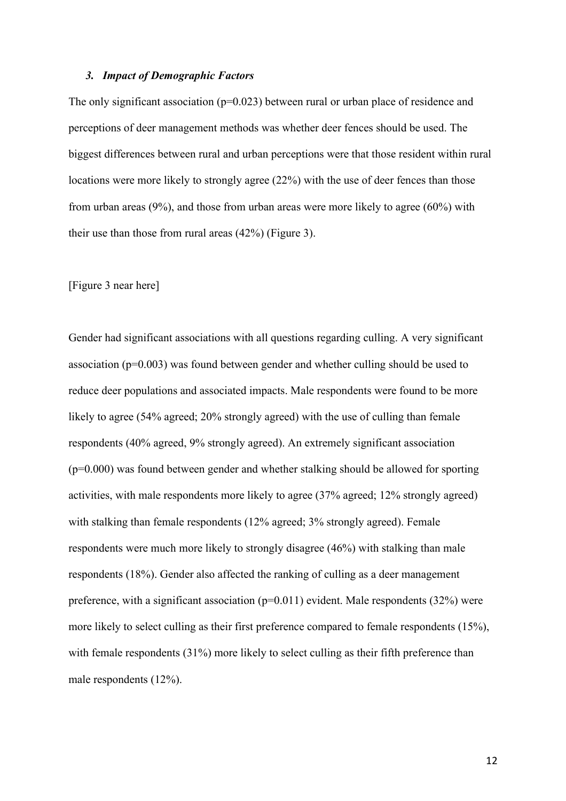#### *3. Impact of Demographic Factors*

The only significant association ( $p=0.023$ ) between rural or urban place of residence and perceptions of deer management methods was whether deer fences should be used. The biggest differences between rural and urban perceptions were that those resident within rural locations were more likely to strongly agree (22%) with the use of deer fences than those from urban areas (9%), and those from urban areas were more likely to agree (60%) with their use than those from rural areas (42%) (Figure 3).

[Figure 3 near here]

Gender had significant associations with all questions regarding culling. A very significant association (p=0.003) was found between gender and whether culling should be used to reduce deer populations and associated impacts. Male respondents were found to be more likely to agree (54% agreed; 20% strongly agreed) with the use of culling than female respondents (40% agreed, 9% strongly agreed). An extremely significant association (p=0.000) was found between gender and whether stalking should be allowed for sporting activities, with male respondents more likely to agree (37% agreed; 12% strongly agreed) with stalking than female respondents (12% agreed; 3% strongly agreed). Female respondents were much more likely to strongly disagree (46%) with stalking than male respondents (18%). Gender also affected the ranking of culling as a deer management preference, with a significant association ( $p=0.011$ ) evident. Male respondents (32%) were more likely to select culling as their first preference compared to female respondents (15%), with female respondents (31%) more likely to select culling as their fifth preference than male respondents (12%).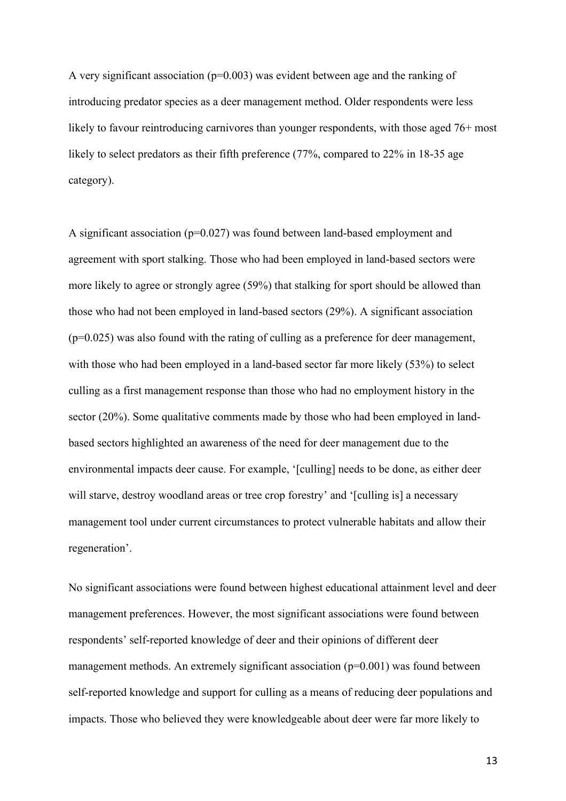A very significant association ( $p=0.003$ ) was evident between age and the ranking of introducing predator species as a deer management method. Older respondents were less likely to favour reintroducing carnivores than younger respondents, with those aged 76+ most likely to select predators as their fifth preference (77%, compared to 22% in 18-35 age category).

A significant association (p=0.027) was found between land-based employment and agreement with sport stalking. Those who had been employed in land-based sectors were more likely to agree or strongly agree (59%) that stalking for sport should be allowed than those who had not been employed in land-based sectors (29%). A significant association  $(p=0.025)$  was also found with the rating of culling as a preference for deer management, with those who had been employed in a land-based sector far more likely (53%) to select culling as a first management response than those who had no employment history in the sector (20%). Some qualitative comments made by those who had been employed in landbased sectors highlighted an awareness of the need for deer management due to the environmental impacts deer cause. For example, '[culling] needs to be done, as either deer will starve, destroy woodland areas or tree crop forestry' and '[culling is] a necessary management tool under current circumstances to protect vulnerable habitats and allow their regeneration'.

No significant associations were found between highest educational attainment level and deer management preferences. However, the most significant associations were found between respondents' self-reported knowledge of deer and their opinions of different deer management methods. An extremely significant association  $(p=0.001)$  was found between self-reported knowledge and support for culling as a means of reducing deer populations and impacts. Those who believed they were knowledgeable about deer were far more likely to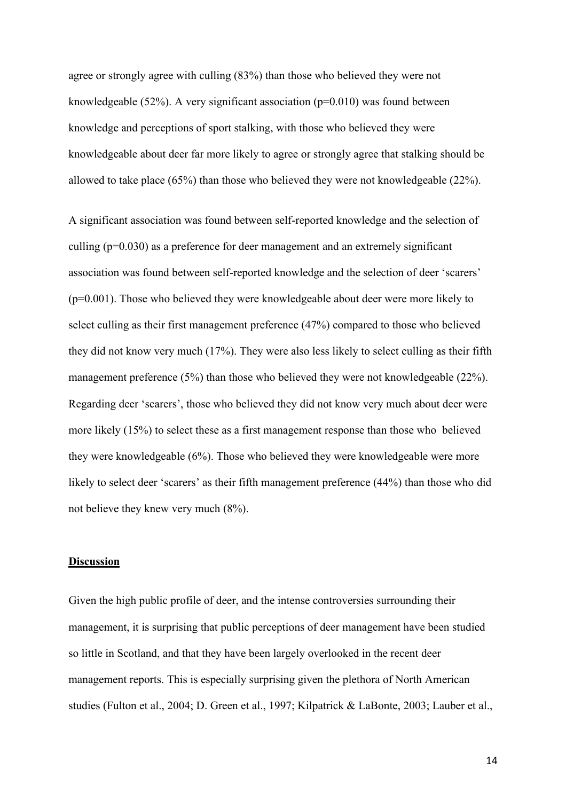agree or strongly agree with culling (83%) than those who believed they were not knowledgeable (52%). A very significant association ( $p=0.010$ ) was found between knowledge and perceptions of sport stalking, with those who believed they were knowledgeable about deer far more likely to agree or strongly agree that stalking should be allowed to take place (65%) than those who believed they were not knowledgeable (22%).

A significant association was found between self-reported knowledge and the selection of culling (p=0.030) as a preference for deer management and an extremely significant association was found between self-reported knowledge and the selection of deer 'scarers' (p=0.001). Those who believed they were knowledgeable about deer were more likely to select culling as their first management preference (47%) compared to those who believed they did not know very much (17%). They were also less likely to select culling as their fifth management preference (5%) than those who believed they were not knowledgeable (22%). Regarding deer 'scarers', those who believed they did not know very much about deer were more likely (15%) to select these as a first management response than those who believed they were knowledgeable (6%). Those who believed they were knowledgeable were more likely to select deer 'scarers' as their fifth management preference (44%) than those who did not believe they knew very much (8%).

## **Discussion**

Given the high public profile of deer, and the intense controversies surrounding their management, it is surprising that public perceptions of deer management have been studied so little in Scotland, and that they have been largely overlooked in the recent deer management reports. This is especially surprising given the plethora of North American studies (Fulton et al., 2004; D. Green et al., 1997; Kilpatrick & LaBonte, 2003; Lauber et al.,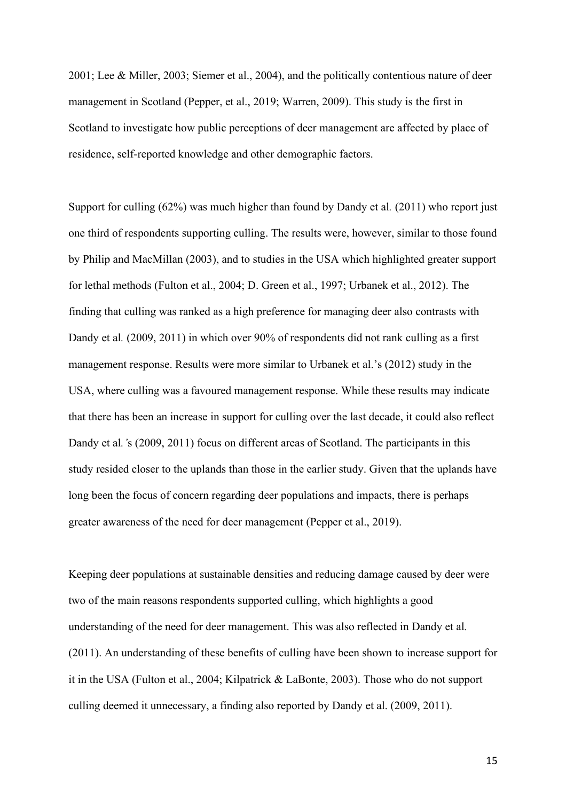2001; Lee & Miller, 2003; Siemer et al., 2004), and the politically contentious nature of deer management in Scotland (Pepper, et al., 2019; Warren, 2009). This study is the first in Scotland to investigate how public perceptions of deer management are affected by place of residence, self-reported knowledge and other demographic factors.

Support for culling (62%) was much higher than found by Dandy et al*.* (2011) who report just one third of respondents supporting culling. The results were, however, similar to those found by Philip and MacMillan (2003), and to studies in the USA which highlighted greater support for lethal methods (Fulton et al., 2004; D. Green et al., 1997; Urbanek et al., 2012). The finding that culling was ranked as a high preference for managing deer also contrasts with Dandy et al*.* (2009, 2011) in which over 90% of respondents did not rank culling as a first management response. Results were more similar to Urbanek et al.'s (2012) study in the USA, where culling was a favoured management response. While these results may indicate that there has been an increase in support for culling over the last decade, it could also reflect Dandy et al*.'*s (2009, 2011) focus on different areas of Scotland. The participants in this study resided closer to the uplands than those in the earlier study. Given that the uplands have long been the focus of concern regarding deer populations and impacts, there is perhaps greater awareness of the need for deer management (Pepper et al., 2019).

Keeping deer populations at sustainable densities and reducing damage caused by deer were two of the main reasons respondents supported culling, which highlights a good understanding of the need for deer management. This was also reflected in Dandy et al*.* (2011). An understanding of these benefits of culling have been shown to increase support for it in the USA (Fulton et al., 2004; Kilpatrick & LaBonte, 2003). Those who do not support culling deemed it unnecessary, a finding also reported by Dandy et al. (2009, 2011).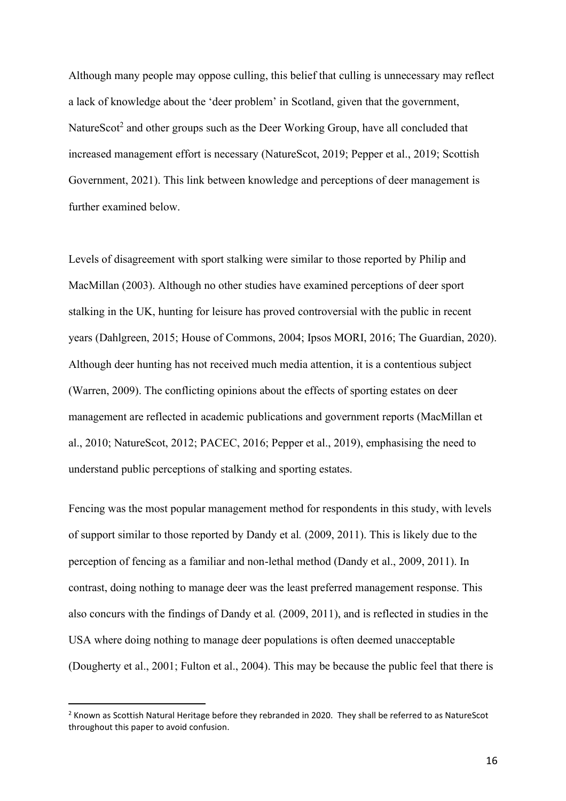Although many people may oppose culling, this belief that culling is unnecessary may reflect a lack of knowledge about the 'deer problem' in Scotland, given that the government, NatureScot<sup>2</sup> and other groups such as the Deer Working Group, have all concluded that increased management effort is necessary (NatureScot, 2019; Pepper et al., 2019; Scottish Government, 2021). This link between knowledge and perceptions of deer management is further examined below.

Levels of disagreement with sport stalking were similar to those reported by Philip and MacMillan (2003). Although no other studies have examined perceptions of deer sport stalking in the UK, hunting for leisure has proved controversial with the public in recent years (Dahlgreen, 2015; House of Commons, 2004; Ipsos MORI, 2016; The Guardian, 2020). Although deer hunting has not received much media attention, it is a contentious subject (Warren, 2009). The conflicting opinions about the effects of sporting estates on deer management are reflected in academic publications and government reports (MacMillan et al., 2010; NatureScot, 2012; PACEC, 2016; Pepper et al., 2019), emphasising the need to understand public perceptions of stalking and sporting estates.

Fencing was the most popular management method for respondents in this study, with levels of support similar to those reported by Dandy et al*.* (2009, 2011). This is likely due to the perception of fencing as a familiar and non-lethal method (Dandy et al., 2009, 2011). In contrast, doing nothing to manage deer was the least preferred management response. This also concurs with the findings of Dandy et al*.* (2009, 2011), and is reflected in studies in the USA where doing nothing to manage deer populations is often deemed unacceptable (Dougherty et al., 2001; Fulton et al., 2004). This may be because the public feel that there is

 $<sup>2</sup>$  Known as Scottish Natural Heritage before they rebranded in 2020. They shall be referred to as NatureScot</sup> throughout this paper to avoid confusion.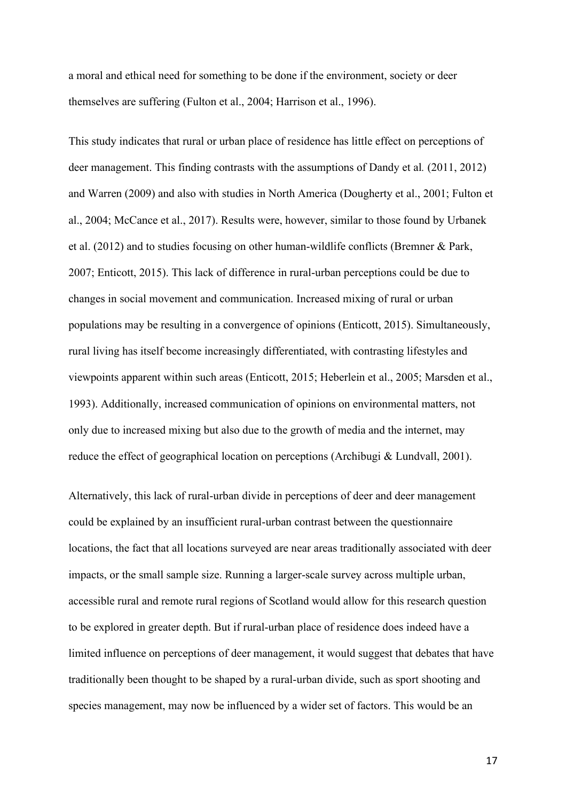a moral and ethical need for something to be done if the environment, society or deer themselves are suffering (Fulton et al., 2004; Harrison et al., 1996).

This study indicates that rural or urban place of residence has little effect on perceptions of deer management. This finding contrasts with the assumptions of Dandy et al*.* (2011, 2012) and Warren (2009) and also with studies in North America (Dougherty et al., 2001; Fulton et al., 2004; McCance et al., 2017). Results were, however, similar to those found by Urbanek et al. (2012) and to studies focusing on other human-wildlife conflicts (Bremner & Park, 2007; Enticott, 2015). This lack of difference in rural-urban perceptions could be due to changes in social movement and communication. Increased mixing of rural or urban populations may be resulting in a convergence of opinions (Enticott, 2015). Simultaneously, rural living has itself become increasingly differentiated, with contrasting lifestyles and viewpoints apparent within such areas (Enticott, 2015; Heberlein et al., 2005; Marsden et al., 1993). Additionally, increased communication of opinions on environmental matters, not only due to increased mixing but also due to the growth of media and the internet, may reduce the effect of geographical location on perceptions (Archibugi & Lundvall, 2001).

Alternatively, this lack of rural-urban divide in perceptions of deer and deer management could be explained by an insufficient rural-urban contrast between the questionnaire locations, the fact that all locations surveyed are near areas traditionally associated with deer impacts, or the small sample size. Running a larger-scale survey across multiple urban, accessible rural and remote rural regions of Scotland would allow for this research question to be explored in greater depth. But if rural-urban place of residence does indeed have a limited influence on perceptions of deer management, it would suggest that debates that have traditionally been thought to be shaped by a rural-urban divide, such as sport shooting and species management, may now be influenced by a wider set of factors. This would be an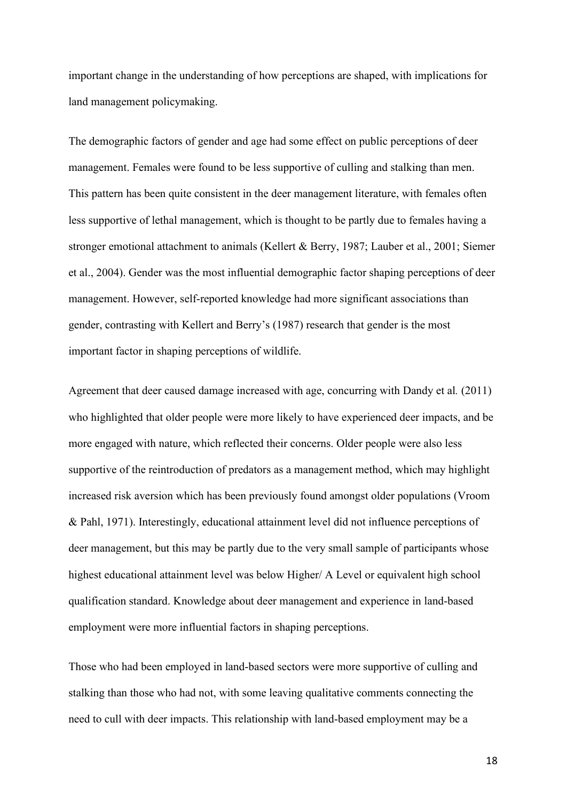important change in the understanding of how perceptions are shaped, with implications for land management policymaking.

The demographic factors of gender and age had some effect on public perceptions of deer management. Females were found to be less supportive of culling and stalking than men. This pattern has been quite consistent in the deer management literature, with females often less supportive of lethal management, which is thought to be partly due to females having a stronger emotional attachment to animals (Kellert & Berry, 1987; Lauber et al., 2001; Siemer et al., 2004). Gender was the most influential demographic factor shaping perceptions of deer management. However, self-reported knowledge had more significant associations than gender, contrasting with Kellert and Berry's (1987) research that gender is the most important factor in shaping perceptions of wildlife.

Agreement that deer caused damage increased with age, concurring with Dandy et al*.* (2011) who highlighted that older people were more likely to have experienced deer impacts, and be more engaged with nature, which reflected their concerns. Older people were also less supportive of the reintroduction of predators as a management method, which may highlight increased risk aversion which has been previously found amongst older populations (Vroom & Pahl, 1971). Interestingly, educational attainment level did not influence perceptions of deer management, but this may be partly due to the very small sample of participants whose highest educational attainment level was below Higher/ A Level or equivalent high school qualification standard. Knowledge about deer management and experience in land-based employment were more influential factors in shaping perceptions.

Those who had been employed in land-based sectors were more supportive of culling and stalking than those who had not, with some leaving qualitative comments connecting the need to cull with deer impacts. This relationship with land-based employment may be a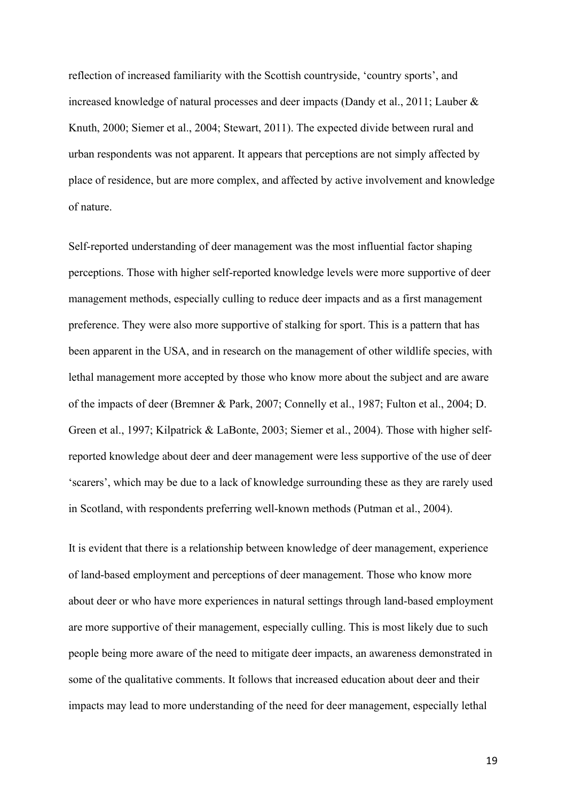reflection of increased familiarity with the Scottish countryside, 'country sports', and increased knowledge of natural processes and deer impacts (Dandy et al., 2011; Lauber & Knuth, 2000; Siemer et al., 2004; Stewart, 2011). The expected divide between rural and urban respondents was not apparent. It appears that perceptions are not simply affected by place of residence, but are more complex, and affected by active involvement and knowledge of nature.

Self-reported understanding of deer management was the most influential factor shaping perceptions. Those with higher self-reported knowledge levels were more supportive of deer management methods, especially culling to reduce deer impacts and as a first management preference. They were also more supportive of stalking for sport. This is a pattern that has been apparent in the USA, and in research on the management of other wildlife species, with lethal management more accepted by those who know more about the subject and are aware of the impacts of deer (Bremner & Park, 2007; Connelly et al., 1987; Fulton et al., 2004; D. Green et al., 1997; Kilpatrick & LaBonte, 2003; Siemer et al., 2004). Those with higher selfreported knowledge about deer and deer management were less supportive of the use of deer 'scarers', which may be due to a lack of knowledge surrounding these as they are rarely used in Scotland, with respondents preferring well-known methods (Putman et al., 2004).

It is evident that there is a relationship between knowledge of deer management, experience of land-based employment and perceptions of deer management. Those who know more about deer or who have more experiences in natural settings through land-based employment are more supportive of their management, especially culling. This is most likely due to such people being more aware of the need to mitigate deer impacts, an awareness demonstrated in some of the qualitative comments. It follows that increased education about deer and their impacts may lead to more understanding of the need for deer management, especially lethal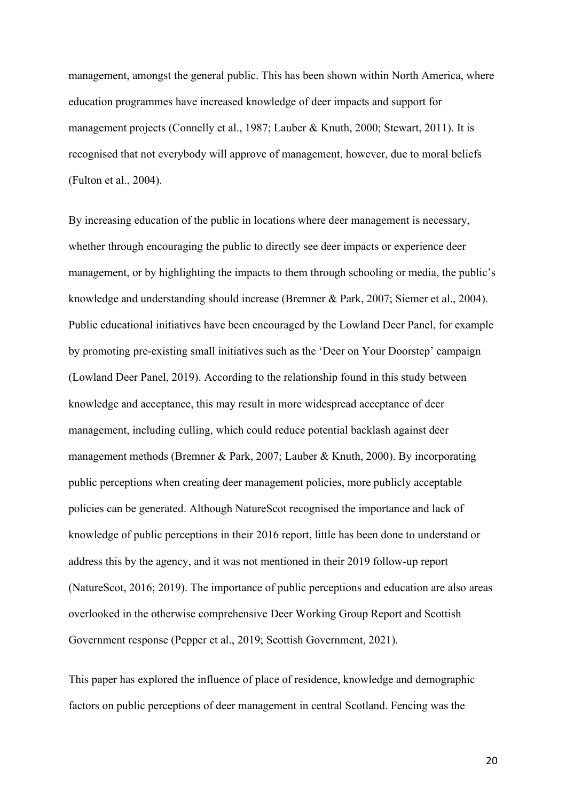management, amongst the general public. This has been shown within North America, where education programmes have increased knowledge of deer impacts and support for management projects (Connelly et al., 1987; Lauber & Knuth, 2000; Stewart, 2011). It is recognised that not everybody will approve of management, however, due to moral beliefs (Fulton et al., 2004).

By increasing education of the public in locations where deer management is necessary, whether through encouraging the public to directly see deer impacts or experience deer management, or by highlighting the impacts to them through schooling or media, the public's knowledge and understanding should increase (Bremner & Park, 2007; Siemer et al., 2004). Public educational initiatives have been encouraged by the Lowland Deer Panel, for example by promoting pre-existing small initiatives such as the 'Deer on Your Doorstep' campaign (Lowland Deer Panel, 2019). According to the relationship found in this study between knowledge and acceptance, this may result in more widespread acceptance of deer management, including culling, which could reduce potential backlash against deer management methods (Bremner & Park, 2007; Lauber & Knuth, 2000). By incorporating public perceptions when creating deer management policies, more publicly acceptable policies can be generated. Although NatureScot recognised the importance and lack of knowledge of public perceptions in their 2016 report, little has been done to understand or address this by the agency, and it was not mentioned in their 2019 follow-up report (NatureScot, 2016; 2019). The importance of public perceptions and education are also areas overlooked in the otherwise comprehensive Deer Working Group Report and Scottish Government response (Pepper et al., 2019; Scottish Government, 2021).

This paper has explored the influence of place of residence, knowledge and demographic factors on public perceptions of deer management in central Scotland. Fencing was the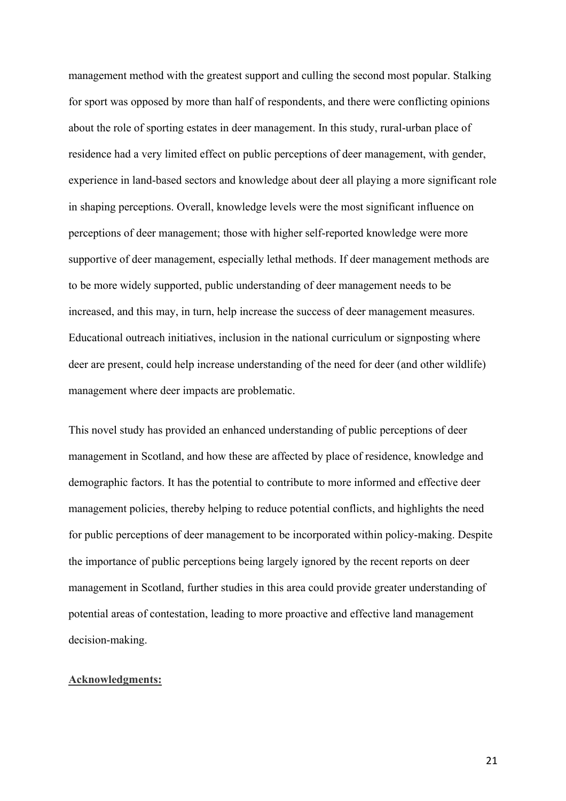management method with the greatest support and culling the second most popular. Stalking for sport was opposed by more than half of respondents, and there were conflicting opinions about the role of sporting estates in deer management. In this study, rural-urban place of residence had a very limited effect on public perceptions of deer management, with gender, experience in land-based sectors and knowledge about deer all playing a more significant role in shaping perceptions. Overall, knowledge levels were the most significant influence on perceptions of deer management; those with higher self-reported knowledge were more supportive of deer management, especially lethal methods. If deer management methods are to be more widely supported, public understanding of deer management needs to be increased, and this may, in turn, help increase the success of deer management measures. Educational outreach initiatives, inclusion in the national curriculum or signposting where deer are present, could help increase understanding of the need for deer (and other wildlife) management where deer impacts are problematic.

This novel study has provided an enhanced understanding of public perceptions of deer management in Scotland, and how these are affected by place of residence, knowledge and demographic factors. It has the potential to contribute to more informed and effective deer management policies, thereby helping to reduce potential conflicts, and highlights the need for public perceptions of deer management to be incorporated within policy-making. Despite the importance of public perceptions being largely ignored by the recent reports on deer management in Scotland, further studies in this area could provide greater understanding of potential areas of contestation, leading to more proactive and effective land management decision-making.

#### **Acknowledgments:**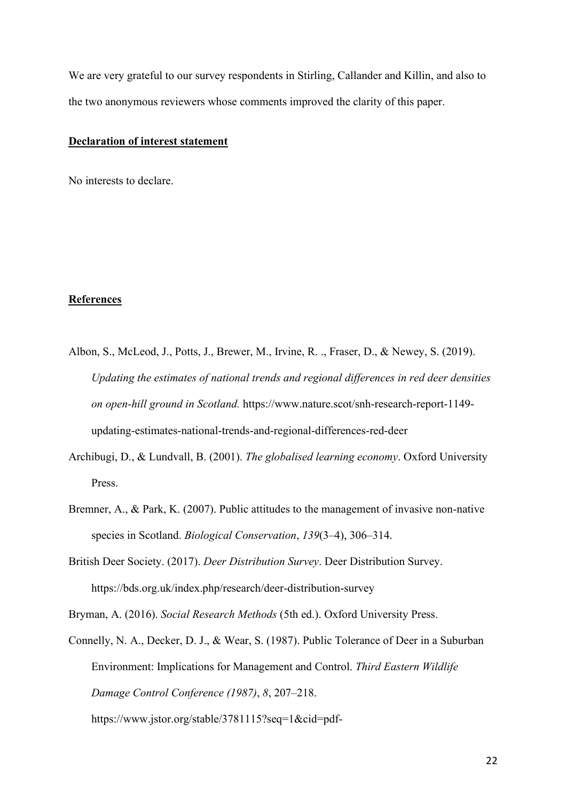We are very grateful to our survey respondents in Stirling, Callander and Killin, and also to the two anonymous reviewers whose comments improved the clarity of this paper.

## **Declaration of interest statement**

No interests to declare.

## **References**

- Albon, S., McLeod, J., Potts, J., Brewer, M., Irvine, R. ., Fraser, D., & Newey, S. (2019). *Updating the estimates of national trends and regional differences in red deer densities on open-hill ground in Scotland.* https://www.nature.scot/snh-research-report-1149 updating-estimates-national-trends-and-regional-differences-red-deer
- Archibugi, D., & Lundvall, B. (2001). *The globalised learning economy*. Oxford University Press.
- Bremner, A., & Park, K. (2007). Public attitudes to the management of invasive non-native species in Scotland. *Biological Conservation*, *139*(3–4), 306–314.
- British Deer Society. (2017). *Deer Distribution Survey*. Deer Distribution Survey. https://bds.org.uk/index.php/research/deer-distribution-survey

Bryman, A. (2016). *Social Research Methods* (5th ed.). Oxford University Press.

Connelly, N. A., Decker, D. J., & Wear, S. (1987). Public Tolerance of Deer in a Suburban Environment: Implications for Management and Control. *Third Eastern Wildlife Damage Control Conference (1987)*, *8*, 207–218.

https://www.jstor.org/stable/3781115?seq=1&cid=pdf-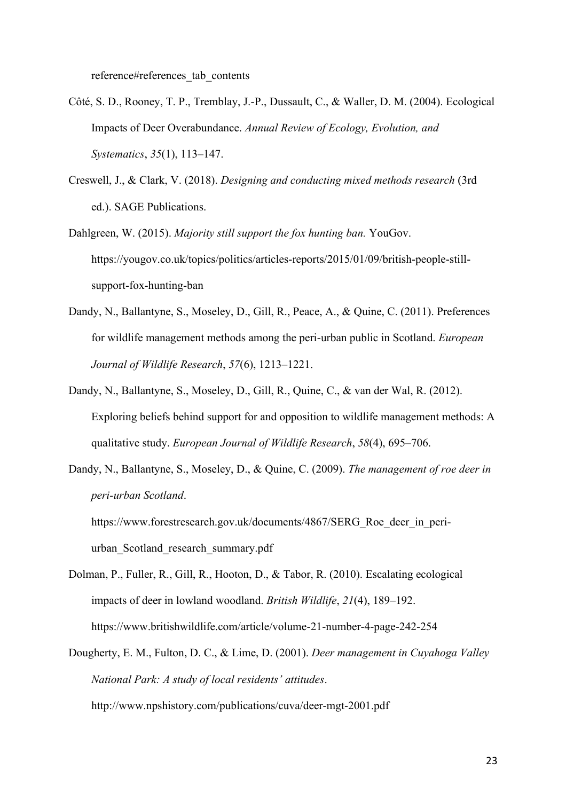reference#references\_tab\_contents

- Côté, S. D., Rooney, T. P., Tremblay, J.-P., Dussault, C., & Waller, D. M. (2004). Ecological Impacts of Deer Overabundance. *Annual Review of Ecology, Evolution, and Systematics*, *35*(1), 113–147.
- Creswell, J., & Clark, V. (2018). *Designing and conducting mixed methods research* (3rd ed.). SAGE Publications.
- Dahlgreen, W. (2015). *Majority still support the fox hunting ban.* YouGov. https://yougov.co.uk/topics/politics/articles-reports/2015/01/09/british-people-stillsupport-fox-hunting-ban
- Dandy, N., Ballantyne, S., Moseley, D., Gill, R., Peace, A., & Quine, C. (2011). Preferences for wildlife management methods among the peri-urban public in Scotland. *European Journal of Wildlife Research*, *57*(6), 1213–1221.
- Dandy, N., Ballantyne, S., Moseley, D., Gill, R., Quine, C., & van der Wal, R. (2012). Exploring beliefs behind support for and opposition to wildlife management methods: A qualitative study. *European Journal of Wildlife Research*, *58*(4), 695–706.
- Dandy, N., Ballantyne, S., Moseley, D., & Quine, C. (2009). *The management of roe deer in peri-urban Scotland*.

https://www.forestresearch.gov.uk/documents/4867/SERG\_Roe\_deer\_in\_periurban\_Scotland\_research\_summary.pdf

- Dolman, P., Fuller, R., Gill, R., Hooton, D., & Tabor, R. (2010). Escalating ecological impacts of deer in lowland woodland. *British Wildlife*, *21*(4), 189–192. https://www.britishwildlife.com/article/volume-21-number-4-page-242-254
- Dougherty, E. M., Fulton, D. C., & Lime, D. (2001). *Deer management in Cuyahoga Valley National Park: A study of local residents' attitudes*. http://www.npshistory.com/publications/cuva/deer-mgt-2001.pdf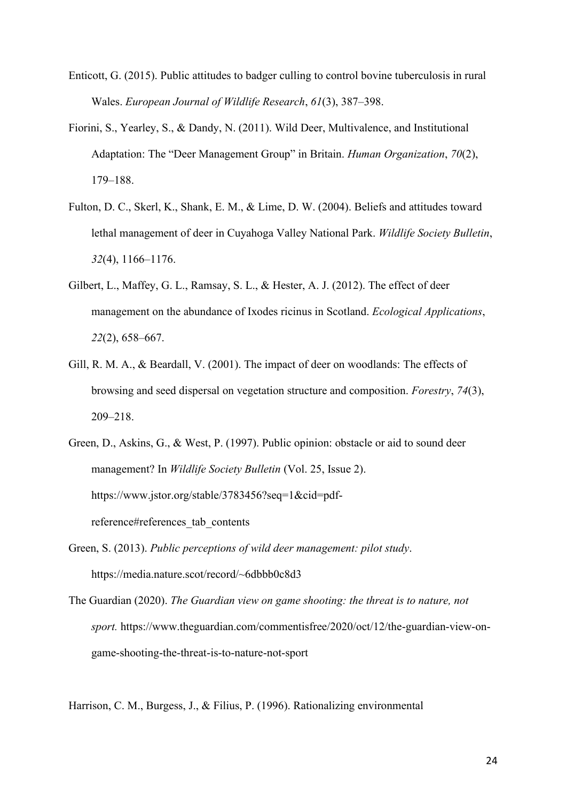- Enticott, G. (2015). Public attitudes to badger culling to control bovine tuberculosis in rural Wales. *European Journal of Wildlife Research*, *61*(3), 387–398.
- Fiorini, S., Yearley, S., & Dandy, N. (2011). Wild Deer, Multivalence, and Institutional Adaptation: The "Deer Management Group" in Britain. *Human Organization*, *70*(2), 179–188.
- Fulton, D. C., Skerl, K., Shank, E. M., & Lime, D. W. (2004). Beliefs and attitudes toward lethal management of deer in Cuyahoga Valley National Park. *Wildlife Society Bulletin*, *32*(4), 1166–1176.
- Gilbert, L., Maffey, G. L., Ramsay, S. L., & Hester, A. J. (2012). The effect of deer management on the abundance of Ixodes ricinus in Scotland. *Ecological Applications*, *22*(2), 658–667.
- Gill, R. M. A., & Beardall, V. (2001). The impact of deer on woodlands: The effects of browsing and seed dispersal on vegetation structure and composition. *Forestry*, *74*(3), 209–218.
- Green, D., Askins, G., & West, P. (1997). Public opinion: obstacle or aid to sound deer management? In *Wildlife Society Bulletin* (Vol. 25, Issue 2). https://www.jstor.org/stable/3783456?seq=1&cid=pdfreference#references\_tab\_contents
- Green, S. (2013). *Public perceptions of wild deer management: pilot study*. https://media.nature.scot/record/~6dbbb0c8d3
- The Guardian (2020). *The Guardian view on game shooting: the threat is to nature, not sport.* https://www.theguardian.com/commentisfree/2020/oct/12/the-guardian-view-ongame-shooting-the-threat-is-to-nature-not-sport

Harrison, C. M., Burgess, J., & Filius, P. (1996). Rationalizing environmental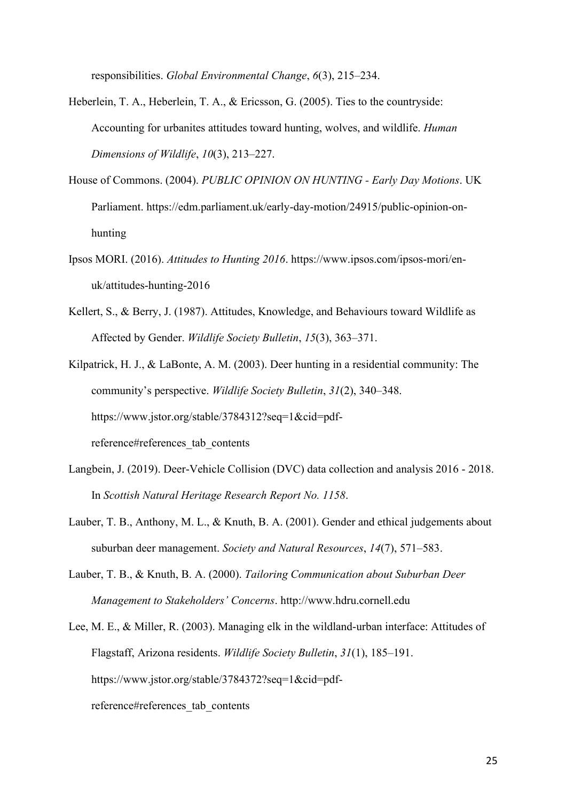responsibilities. *Global Environmental Change*, *6*(3), 215–234.

- Heberlein, T. A., Heberlein, T. A., & Ericsson, G. (2005). Ties to the countryside: Accounting for urbanites attitudes toward hunting, wolves, and wildlife. *Human Dimensions of Wildlife*, *10*(3), 213–227.
- House of Commons. (2004). *PUBLIC OPINION ON HUNTING - Early Day Motions*. UK Parliament. https://edm.parliament.uk/early-day-motion/24915/public-opinion-onhunting
- Ipsos MORI. (2016). *Attitudes to Hunting 2016*. https://www.ipsos.com/ipsos-mori/enuk/attitudes-hunting-2016
- Kellert, S., & Berry, J. (1987). Attitudes, Knowledge, and Behaviours toward Wildlife as Affected by Gender. *Wildlife Society Bulletin*, *15*(3), 363–371.
- Kilpatrick, H. J., & LaBonte, A. M. (2003). Deer hunting in a residential community: The community's perspective. *Wildlife Society Bulletin*, *31*(2), 340–348. https://www.jstor.org/stable/3784312?seq=1&cid=pdfreference#references\_tab\_contents
- Langbein, J. (2019). Deer-Vehicle Collision (DVC) data collection and analysis 2016 2018. In *Scottish Natural Heritage Research Report No. 1158*.
- Lauber, T. B., Anthony, M. L., & Knuth, B. A. (2001). Gender and ethical judgements about suburban deer management. *Society and Natural Resources*, *14*(7), 571–583.
- Lauber, T. B., & Knuth, B. A. (2000). *Tailoring Communication about Suburban Deer Management to Stakeholders' Concerns*. http://www.hdru.cornell.edu
- Lee, M. E., & Miller, R. (2003). Managing elk in the wildland-urban interface: Attitudes of Flagstaff, Arizona residents. *Wildlife Society Bulletin*, *31*(1), 185–191. https://www.jstor.org/stable/3784372?seq=1&cid=pdfreference#references\_tab\_contents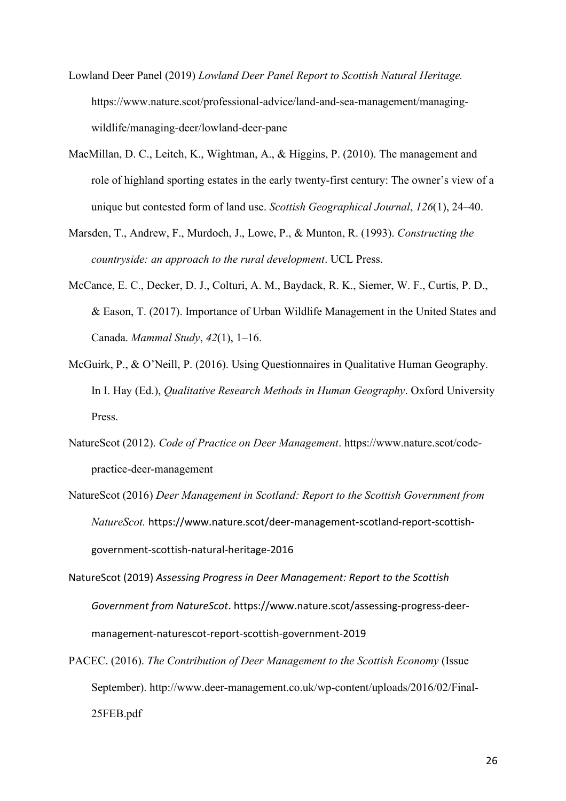- Lowland Deer Panel (2019) *Lowland Deer Panel Report to Scottish Natural Heritage.*  https://www.nature.scot/professional-advice/land-and-sea-management/managingwildlife/managing-deer/lowland-deer-pane
- MacMillan, D. C., Leitch, K., Wightman, A., & Higgins, P. (2010). The management and role of highland sporting estates in the early twenty-first century: The owner's view of a unique but contested form of land use. *Scottish Geographical Journal*, *126*(1), 24–40.
- Marsden, T., Andrew, F., Murdoch, J., Lowe, P., & Munton, R. (1993). *Constructing the countryside: an approach to the rural development*. UCL Press.
- McCance, E. C., Decker, D. J., Colturi, A. M., Baydack, R. K., Siemer, W. F., Curtis, P. D., & Eason, T. (2017). Importance of Urban Wildlife Management in the United States and Canada. *Mammal Study*, *42*(1), 1–16.
- McGuirk, P., & O'Neill, P. (2016). Using Questionnaires in Qualitative Human Geography. In I. Hay (Ed.), *Qualitative Research Methods in Human Geography*. Oxford University Press.
- NatureScot (2012). *Code of Practice on Deer Management*. https://www.nature.scot/codepractice-deer-management
- NatureScot (2016) *Deer Management in Scotland: Report to the Scottish Government from NatureScot.* https://www.nature.scot/deer-management-scotland-report-scottishgovernment-scottish-natural-heritage-2016
- NatureScot (2019) *Assessing Progress in Deer Management: Report to the Scottish Government from NatureScot*. https://www.nature.scot/assessing-progress-deermanagement-naturescot-report-scottish-government-2019
- PACEC. (2016). *The Contribution of Deer Management to the Scottish Economy* (Issue September). http://www.deer-management.co.uk/wp-content/uploads/2016/02/Final-25FEB.pdf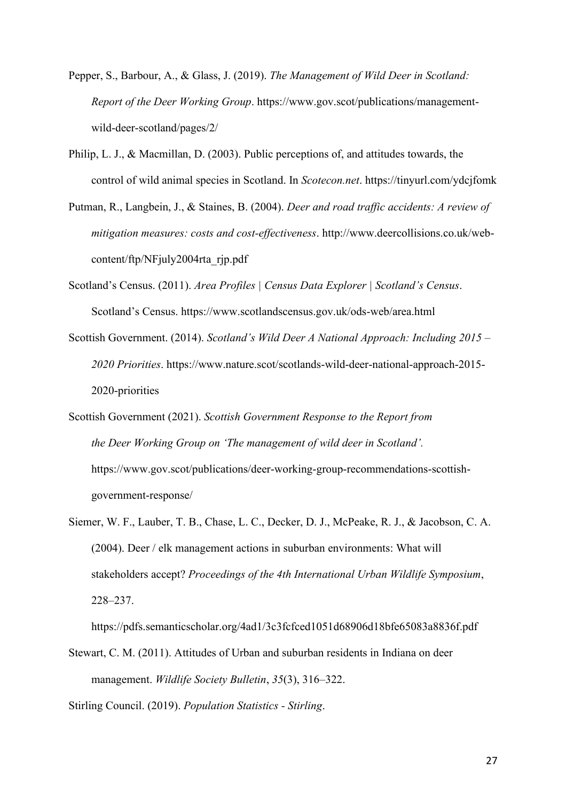- Pepper, S., Barbour, A., & Glass, J. (2019). *The Management of Wild Deer in Scotland: Report of the Deer Working Group*. https://www.gov.scot/publications/managementwild-deer-scotland/pages/2/
- Philip, L. J., & Macmillan, D. (2003). Public perceptions of, and attitudes towards, the control of wild animal species in Scotland. In *Scotecon.net*. https://tinyurl.com/ydcjfomk
- Putman, R., Langbein, J., & Staines, B. (2004). *Deer and road traffic accidents: A review of mitigation measures: costs and cost-effectiveness*. http://www.deercollisions.co.uk/webcontent/ftp/NFjuly2004rta\_rjp.pdf
- Scotland's Census. (2011). *Area Profiles | Census Data Explorer | Scotland's Census*. Scotland's Census. https://www.scotlandscensus.gov.uk/ods-web/area.html
- Scottish Government. (2014). *Scotland's Wild Deer A National Approach: Including 2015 – 2020 Priorities*. https://www.nature.scot/scotlands-wild-deer-national-approach-2015- 2020-priorities
- Scottish Government (2021). *Scottish Government Response to the Report from the Deer Working Group on 'The management of wild deer in Scotland'.*  https://www.gov.scot/publications/deer-working-group-recommendations-scottishgovernment-response/
- Siemer, W. F., Lauber, T. B., Chase, L. C., Decker, D. J., McPeake, R. J., & Jacobson, C. A. (2004). Deer / elk management actions in suburban environments: What will stakeholders accept? *Proceedings of the 4th International Urban Wildlife Symposium*, 228–237.

https://pdfs.semanticscholar.org/4ad1/3c3fcfced1051d68906d18bfe65083a8836f.pdf

Stewart, C. M. (2011). Attitudes of Urban and suburban residents in Indiana on deer management. *Wildlife Society Bulletin*, *35*(3), 316–322.

Stirling Council. (2019). *Population Statistics - Stirling*.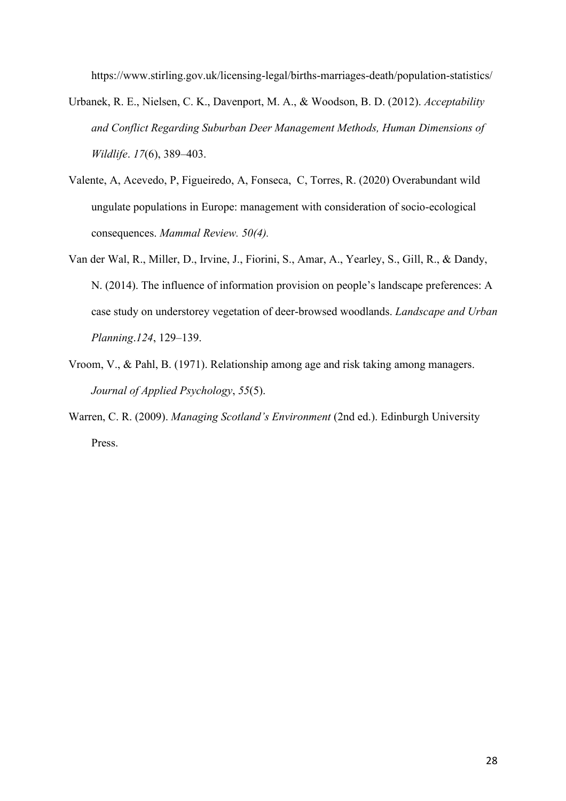https://www.stirling.gov.uk/licensing-legal/births-marriages-death/population-statistics/

- Urbanek, R. E., Nielsen, C. K., Davenport, M. A., & Woodson, B. D. (2012). *Acceptability and Conflict Regarding Suburban Deer Management Methods, Human Dimensions of Wildlife*. *17*(6), 389–403.
- Valente, A, Acevedo, P, Figueiredo, A, Fonseca, C, Torres, R. (2020) Overabundant wild ungulate populations in Europe: management with consideration of socio-ecological consequences. *Mammal Review. 50(4).*
- Van der Wal, R., Miller, D., Irvine, J., Fiorini, S., Amar, A., Yearley, S., Gill, R., & Dandy, N. (2014). The influence of information provision on people's landscape preferences: A case study on understorey vegetation of deer-browsed woodlands. *Landscape and Urban Planning*.*124*, 129–139.
- Vroom, V., & Pahl, B. (1971). Relationship among age and risk taking among managers. *Journal of Applied Psychology*, *55*(5).
- Warren, C. R. (2009). *Managing Scotland's Environment* (2nd ed.). Edinburgh University Press.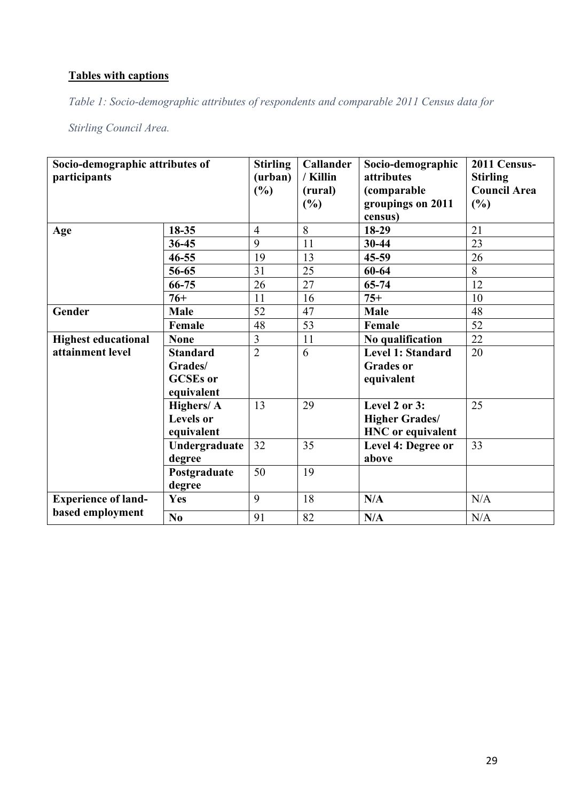# **Tables with captions**

*Table 1: Socio-demographic attributes of respondents and comparable 2011 Census data for* 

*Stirling Council Area.*

| Socio-demographic attributes of<br>participants |                               | <b>Stirling</b><br>(urban)<br>(%) | <b>Callander</b><br>/ Killin<br>(rural)<br>(%) | Socio-demographic<br>attributes<br>(comparable<br>groupings on 2011<br>census) | 2011 Census-<br><b>Stirling</b><br><b>Council Area</b><br>(%) |
|-------------------------------------------------|-------------------------------|-----------------------------------|------------------------------------------------|--------------------------------------------------------------------------------|---------------------------------------------------------------|
| Age                                             | 18-35                         | $\overline{4}$                    | 8                                              | 18-29                                                                          | 21                                                            |
|                                                 | 36-45                         | 9                                 | 11                                             | $30 - 44$                                                                      | 23                                                            |
|                                                 | $46 - 55$                     | 19                                | 13                                             | $45 - 59$                                                                      | 26                                                            |
|                                                 | 56-65                         | 31                                | 25                                             | 60-64                                                                          | 8                                                             |
|                                                 | 66-75                         | 26                                | 27                                             | $65 - 74$                                                                      | 12                                                            |
|                                                 | $76+$                         | 11                                | 16                                             | $75+$                                                                          | 10                                                            |
| Gender                                          | Male                          | 52                                | 47                                             | Male                                                                           | 48                                                            |
|                                                 | Female                        | 48                                | 53                                             | Female                                                                         | 52                                                            |
| <b>Highest educational</b>                      | <b>None</b>                   | $\overline{3}$                    | 11                                             | No qualification                                                               | 22                                                            |
| attainment level                                | <b>Standard</b>               | $\overline{2}$                    | 6                                              | <b>Level 1: Standard</b>                                                       | 20                                                            |
|                                                 | Grades/                       |                                   |                                                | <b>Grades or</b>                                                               |                                                               |
|                                                 | <b>GCSEs</b> or<br>equivalent |                                   |                                                | equivalent                                                                     |                                                               |
|                                                 | Highers/ A                    | 13                                | 29                                             | Level 2 or 3:                                                                  | 25                                                            |
|                                                 | <b>Levels</b> or              |                                   |                                                | <b>Higher Grades/</b>                                                          |                                                               |
|                                                 | equivalent                    |                                   |                                                | <b>HNC</b> or equivalent                                                       |                                                               |
|                                                 | Undergraduate                 | 32                                | 35                                             | Level 4: Degree or                                                             | 33                                                            |
|                                                 | degree                        |                                   |                                                | above                                                                          |                                                               |
|                                                 | Postgraduate                  | 50                                | 19                                             |                                                                                |                                                               |
|                                                 | degree                        |                                   |                                                |                                                                                |                                                               |
| <b>Experience of land-</b><br>based employment  | Yes                           | 9                                 | 18                                             | N/A                                                                            | N/A                                                           |
|                                                 | No                            | 91                                | 82                                             | N/A                                                                            | N/A                                                           |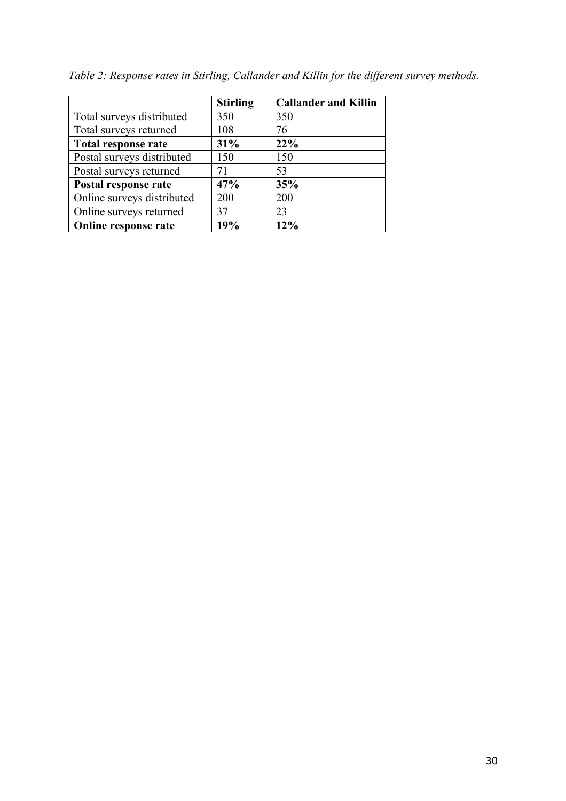|                            | <b>Stirling</b> | <b>Callander and Killin</b> |
|----------------------------|-----------------|-----------------------------|
| Total surveys distributed  | 350             | 350                         |
| Total surveys returned     | 108             | 76                          |
| Total response rate        | 31%             | 22%                         |
| Postal surveys distributed | 150             | 150                         |
| Postal surveys returned    | 71              | 53                          |
| Postal response rate       | 47%             | 35%                         |
| Online surveys distributed | 200             | 200                         |
| Online surveys returned    | 37              | 23                          |
| Online response rate       | 19%             | 12%                         |

*Table 2: Response rates in Stirling, Callander and Killin for the different survey methods.*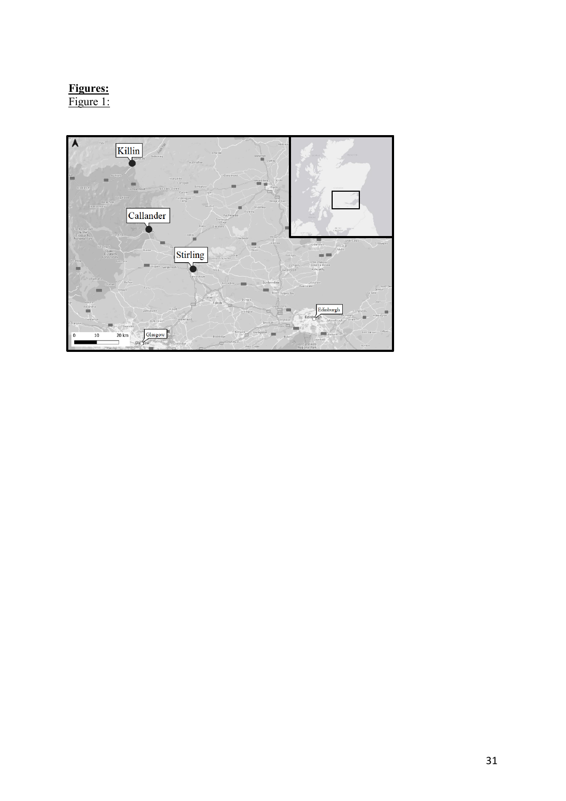# **Figures:**

Figure 1:

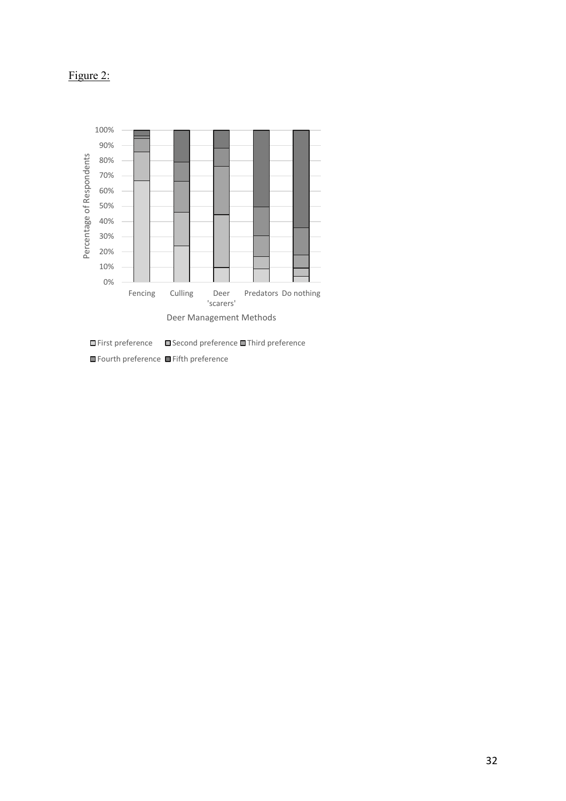# Figure 2:



 $\Box$  First preference  $\Box$  Second preference  $\Box$  Third preference

Fourth preference Fifth preference